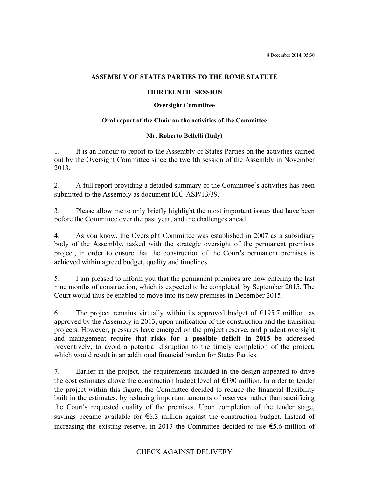#### **ASSEMBLY OF STATES PARTIES TO THE ROME STATUTE**

#### **THIRTEENTH SESSION**

#### **Oversight Committee**

### **Oral report of the Chair on the activities of the Committee**

## **Mr. Roberto Bellelli (Italy)**

1. It is an honour to report to the Assembly of States Parties on the activities carried out by the Oversight Committee since the twelfth session of the Assembly in November 2013.

2. A full report providing a detailed summary of the Committee´s activities has been submitted to the Assembly as document ICC-ASP/13/39.

3. Please allow me to only briefly highlight the most important issues that have been before the Committee over the past year, and the challenges ahead.

4. As you know, the Oversight Committee was established in 2007 as a subsidiary body of the Assembly, tasked with the strategic oversight of the permanent premises project, in order to ensure that the construction of the Court's permanent premises is achieved within agreed budget, quality and timelines.

5. I am pleased to inform you that the permanent premises are now entering the last nine months of construction, which is expected to be completed by September 2015. The Court would thus be enabled to move into its new premises in December 2015.

6. The project remains virtually within its approved budget of  $\epsilon$ 195.7 million, as approved by the Assembly in 2013, upon unification of the construction and the transition projects. However, pressures have emerged on the project reserve, and prudent oversight and management require that **risks for a possible deficit in 2015** be addressed preventively, to avoid a potential disruption to the timely completion of the project, which would result in an additional financial burden for States Parties.

7. Earlier in the project, the requirements included in the design appeared to drive the cost estimates above the construction budget level of  $\epsilon$ 190 million. In order to tender the project within this figure, the Committee decided to reduce the financial flexibility built in the estimates, by reducing important amounts of reserves, rather than sacrificing the Court's requested quality of the premises. Upon completion of the tender stage, savings became available for  $\epsilon$ 6.3 million against the construction budget. Instead of increasing the existing reserve, in 2013 the Committee decided to use  $\epsilon$ 5.6 million of

# CHECK AGAINST DELIVERY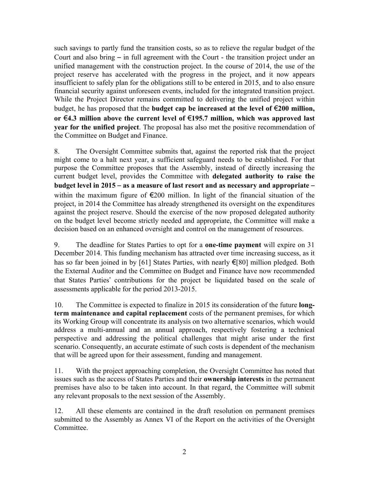such savings to partly fund the transition costs, so as to relieve the regular budget of the Court and also bring – in full agreement with the Court - the transition project under an unified management with the construction project. In the course of 2014, the use of the project reserve has accelerated with the progress in the project, and it now appears insufficient to safely plan for the obligations still to be entered in 2015, and to also ensure financial security against unforeseen events, included for the integrated transition project. While the Project Director remains committed to delivering the unified project within budget, he has proposed that the **budget cap be increased at the level of** €**200 million, or** €**4.3 million above the current level of** €**195.7 million, which was approved last year for the unified project**. The proposal has also met the positive recommendation of the Committee on Budget and Finance.

8. The Oversight Committee submits that, against the reported risk that the project might come to a halt next year, a sufficient safeguard needs to be established. For that purpose the Committee proposes that the Assembly, instead of directly increasing the current budget level, provides the Committee with **delegated authority to raise the budget level in 2015** – **as a measure of last resort and as necessary and appropriate** – within the maximum figure of  $\epsilon$ 200 million. In light of the financial situation of the project, in 2014 the Committee has already strengthened its oversight on the expenditures against the project reserve. Should the exercise of the now proposed delegated authority on the budget level become strictly needed and appropriate, the Committee will make a decision based on an enhanced oversight and control on the management of resources.

9. The deadline for States Parties to opt for a **one-time payment** will expire on 31 December 2014. This funding mechanism has attracted over time increasing success, as it has so far been joined in by [61] States Parties, with nearly €[80] million pledged. Both the External Auditor and the Committee on Budget and Finance have now recommended that States Parties' contributions for the project be liquidated based on the scale of assessments applicable for the period 2013-2015.

10. The Committee is expected to finalize in 2015 its consideration of the future **longterm maintenance and capital replacement** costs of the permanent premises, for which its Working Group will concentrate its analysis on two alternative scenarios, which would address a multi-annual and an annual approach, respectively fostering a technical perspective and addressing the political challenges that might arise under the first scenario. Consequently, an accurate estimate of such costs is dependent of the mechanism that will be agreed upon for their assessment, funding and management.

11. With the project approaching completion, the Oversight Committee has noted that issues such as the access of States Parties and their **ownership interests** in the permanent premises have also to be taken into account. In that regard, the Committee will submit any relevant proposals to the next session of the Assembly.

12. All these elements are contained in the draft resolution on permanent premises submitted to the Assembly as Annex VI of the Report on the activities of the Oversight Committee.